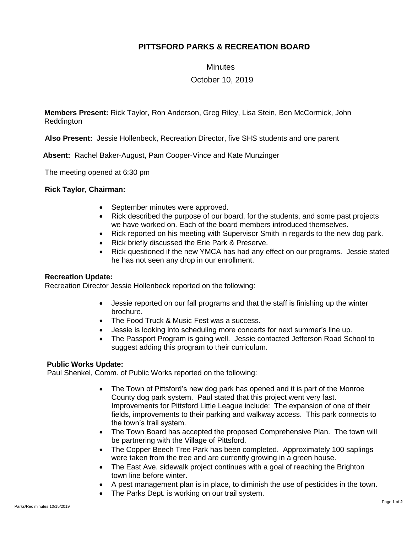# **PITTSFORD PARKS & RECREATION BOARD**

### **Minutes**

## October 10, 2019

**Members Present:** Rick Taylor, Ron Anderson, Greg Riley, Lisa Stein, Ben McCormick, John Reddington

**Also Present:** Jessie Hollenbeck, Recreation Director, five SHS students and one parent

 **Absent:** Rachel Baker-August, Pam Cooper-Vince and Kate Munzinger

The meeting opened at 6:30 pm

### **Rick Taylor, Chairman:**

- September minutes were approved.
- Rick described the purpose of our board, for the students, and some past projects we have worked on. Each of the board members introduced themselves.
- Rick reported on his meeting with Supervisor Smith in regards to the new dog park.
- Rick briefly discussed the Erie Park & Preserve.
- Rick questioned if the new YMCA has had any effect on our programs. Jessie stated he has not seen any drop in our enrollment.

### **Recreation Update:**

Recreation Director Jessie Hollenbeck reported on the following:

- Jessie reported on our fall programs and that the staff is finishing up the winter brochure.
- The Food Truck & Music Fest was a success.
- Jessie is looking into scheduling more concerts for next summer's line up.
- The Passport Program is going well. Jessie contacted Jefferson Road School to suggest adding this program to their curriculum.

### **Public Works Update:**

Paul Shenkel, Comm. of Public Works reported on the following:

- The Town of Pittsford's new dog park has opened and it is part of the Monroe County dog park system. Paul stated that this project went very fast. Improvements for Pittsford Little League include: The expansion of one of their fields, improvements to their parking and walkway access. This park connects to the town's trail system.
- The Town Board has accepted the proposed Comprehensive Plan. The town will be partnering with the Village of Pittsford.
- The Copper Beech Tree Park has been completed. Approximately 100 saplings were taken from the tree and are currently growing in a green house.
- The East Ave. sidewalk project continues with a goal of reaching the Brighton town line before winter.
- A pest management plan is in place, to diminish the use of pesticides in the town.
- The Parks Dept. is working on our trail system.